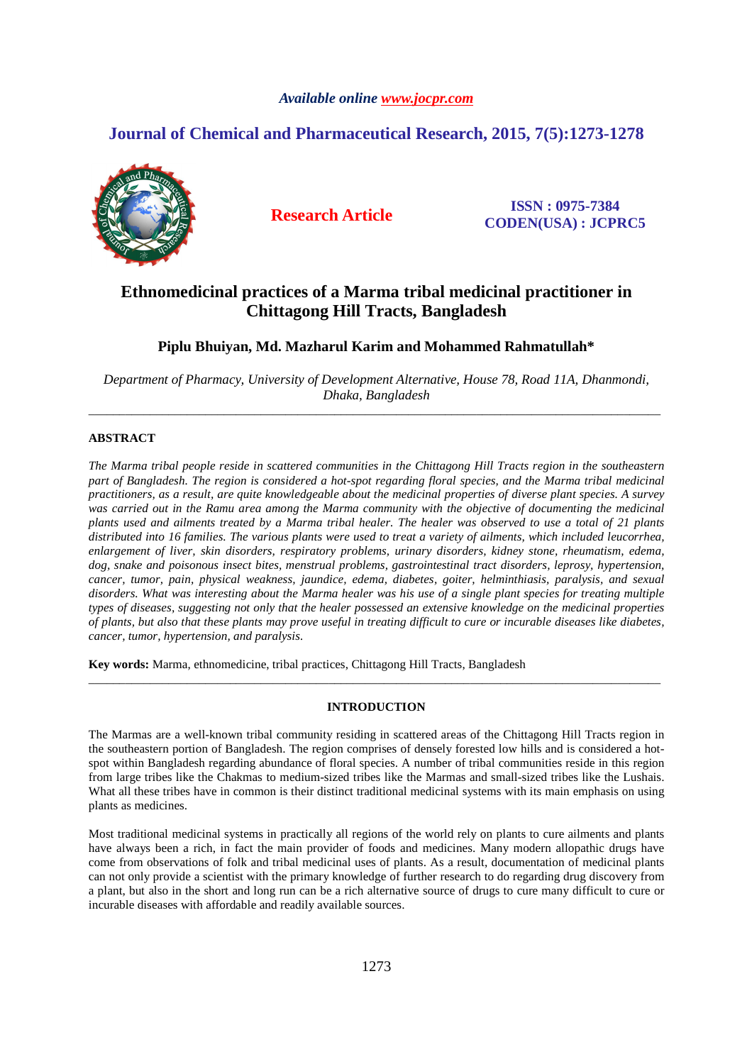# *Available online www.jocpr.com*

# **Journal of Chemical and Pharmaceutical Research, 2015, 7(5):1273-1278**



**Research Article ISSN : 0975-7384 CODEN(USA) : JCPRC5**

# **Ethnomedicinal practices of a Marma tribal medicinal practitioner in Chittagong Hill Tracts, Bangladesh**

# **Piplu Bhuiyan, Md. Mazharul Karim and Mohammed Rahmatullah\***

*Department of Pharmacy, University of Development Alternative, House 78, Road 11A, Dhanmondi, Dhaka, Bangladesh*  \_\_\_\_\_\_\_\_\_\_\_\_\_\_\_\_\_\_\_\_\_\_\_\_\_\_\_\_\_\_\_\_\_\_\_\_\_\_\_\_\_\_\_\_\_\_\_\_\_\_\_\_\_\_\_\_\_\_\_\_\_\_\_\_\_\_\_\_\_\_\_\_\_\_\_\_\_\_\_\_\_\_\_\_\_\_\_\_\_\_\_\_\_

# **ABSTRACT**

*The Marma tribal people reside in scattered communities in the Chittagong Hill Tracts region in the southeastern part of Bangladesh. The region is considered a hot-spot regarding floral species, and the Marma tribal medicinal practitioners, as a result, are quite knowledgeable about the medicinal properties of diverse plant species. A survey*  was carried out in the Ramu area among the Marma community with the objective of documenting the medicinal *plants used and ailments treated by a Marma tribal healer. The healer was observed to use a total of 21 plants distributed into 16 families. The various plants were used to treat a variety of ailments, which included leucorrhea, enlargement of liver, skin disorders, respiratory problems, urinary disorders, kidney stone, rheumatism, edema, dog, snake and poisonous insect bites, menstrual problems, gastrointestinal tract disorders, leprosy, hypertension, cancer, tumor, pain, physical weakness, jaundice, edema, diabetes, goiter, helminthiasis, paralysis, and sexual disorders. What was interesting about the Marma healer was his use of a single plant species for treating multiple types of diseases, suggesting not only that the healer possessed an extensive knowledge on the medicinal properties of plants, but also that these plants may prove useful in treating difficult to cure or incurable diseases like diabetes, cancer, tumor, hypertension, and paralysis.* 

**Key words:** Marma, ethnomedicine, tribal practices, Chittagong Hill Tracts, Bangladesh

## **INTRODUCTION**

\_\_\_\_\_\_\_\_\_\_\_\_\_\_\_\_\_\_\_\_\_\_\_\_\_\_\_\_\_\_\_\_\_\_\_\_\_\_\_\_\_\_\_\_\_\_\_\_\_\_\_\_\_\_\_\_\_\_\_\_\_\_\_\_\_\_\_\_\_\_\_\_\_\_\_\_\_\_\_\_\_\_\_\_\_\_\_\_\_\_\_\_\_

The Marmas are a well-known tribal community residing in scattered areas of the Chittagong Hill Tracts region in the southeastern portion of Bangladesh. The region comprises of densely forested low hills and is considered a hotspot within Bangladesh regarding abundance of floral species. A number of tribal communities reside in this region from large tribes like the Chakmas to medium-sized tribes like the Marmas and small-sized tribes like the Lushais. What all these tribes have in common is their distinct traditional medicinal systems with its main emphasis on using plants as medicines.

Most traditional medicinal systems in practically all regions of the world rely on plants to cure ailments and plants have always been a rich, in fact the main provider of foods and medicines. Many modern allopathic drugs have come from observations of folk and tribal medicinal uses of plants. As a result, documentation of medicinal plants can not only provide a scientist with the primary knowledge of further research to do regarding drug discovery from a plant, but also in the short and long run can be a rich alternative source of drugs to cure many difficult to cure or incurable diseases with affordable and readily available sources.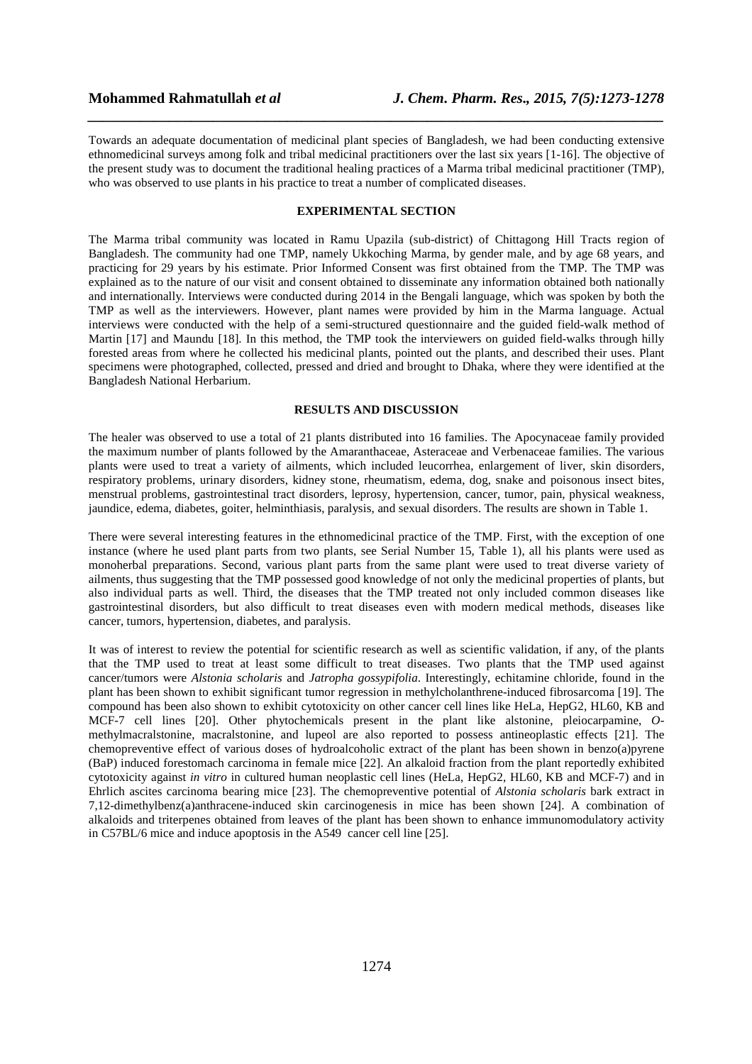Towards an adequate documentation of medicinal plant species of Bangladesh, we had been conducting extensive ethnomedicinal surveys among folk and tribal medicinal practitioners over the last six years [1-16]. The objective of the present study was to document the traditional healing practices of a Marma tribal medicinal practitioner (TMP), who was observed to use plants in his practice to treat a number of complicated diseases.

*\_\_\_\_\_\_\_\_\_\_\_\_\_\_\_\_\_\_\_\_\_\_\_\_\_\_\_\_\_\_\_\_\_\_\_\_\_\_\_\_\_\_\_\_\_\_\_\_\_\_\_\_\_\_\_\_\_\_\_\_\_\_\_\_\_\_\_\_\_\_\_\_\_\_\_\_\_\_*

#### **EXPERIMENTAL SECTION**

The Marma tribal community was located in Ramu Upazila (sub-district) of Chittagong Hill Tracts region of Bangladesh. The community had one TMP, namely Ukkoching Marma, by gender male, and by age 68 years, and practicing for 29 years by his estimate. Prior Informed Consent was first obtained from the TMP. The TMP was explained as to the nature of our visit and consent obtained to disseminate any information obtained both nationally and internationally. Interviews were conducted during 2014 in the Bengali language, which was spoken by both the TMP as well as the interviewers. However, plant names were provided by him in the Marma language. Actual interviews were conducted with the help of a semi-structured questionnaire and the guided field-walk method of Martin [17] and Maundu [18]. In this method, the TMP took the interviewers on guided field-walks through hilly forested areas from where he collected his medicinal plants, pointed out the plants, and described their uses. Plant specimens were photographed, collected, pressed and dried and brought to Dhaka, where they were identified at the Bangladesh National Herbarium.

## **RESULTS AND DISCUSSION**

The healer was observed to use a total of 21 plants distributed into 16 families. The Apocynaceae family provided the maximum number of plants followed by the Amaranthaceae, Asteraceae and Verbenaceae families. The various plants were used to treat a variety of ailments, which included leucorrhea, enlargement of liver, skin disorders, respiratory problems, urinary disorders, kidney stone, rheumatism, edema, dog, snake and poisonous insect bites, menstrual problems, gastrointestinal tract disorders, leprosy, hypertension, cancer, tumor, pain, physical weakness, jaundice, edema, diabetes, goiter, helminthiasis, paralysis, and sexual disorders. The results are shown in Table 1.

There were several interesting features in the ethnomedicinal practice of the TMP. First, with the exception of one instance (where he used plant parts from two plants, see Serial Number 15, Table 1), all his plants were used as monoherbal preparations. Second, various plant parts from the same plant were used to treat diverse variety of ailments, thus suggesting that the TMP possessed good knowledge of not only the medicinal properties of plants, but also individual parts as well. Third, the diseases that the TMP treated not only included common diseases like gastrointestinal disorders, but also difficult to treat diseases even with modern medical methods, diseases like cancer, tumors, hypertension, diabetes, and paralysis.

It was of interest to review the potential for scientific research as well as scientific validation, if any, of the plants that the TMP used to treat at least some difficult to treat diseases. Two plants that the TMP used against cancer/tumors were *Alstonia scholaris* and *Jatropha gossypifolia*. Interestingly, echitamine chloride, found in the plant has been shown to exhibit significant tumor regression in methylcholanthrene-induced fibrosarcoma [19]. The compound has been also shown to exhibit cytotoxicity on other cancer cell lines like HeLa, HepG2, HL60, KB and MCF-7 cell lines [20]. Other phytochemicals present in the plant like alstonine, pleiocarpamine, *O*methylmacralstonine, macralstonine, and lupeol are also reported to possess antineoplastic effects [21]. The chemopreventive effect of various doses of hydroalcoholic extract of the plant has been shown in benzo(a)pyrene (BaP) induced forestomach carcinoma in female mice [22]. An alkaloid fraction from the plant reportedly exhibited cytotoxicity against *in vitro* in cultured human neoplastic cell lines (HeLa, HepG2, HL60, KB and MCF-7) and in Ehrlich ascites carcinoma bearing mice [23]. The chemopreventive potential of *Alstonia scholaris* bark extract in 7,12-dimethylbenz(a)anthracene-induced skin carcinogenesis in mice has been shown [24]. A combination of alkaloids and triterpenes obtained from leaves of the plant has been shown to enhance immunomodulatory activity in C57BL/6 mice and induce apoptosis in the A549 cancer cell line [25].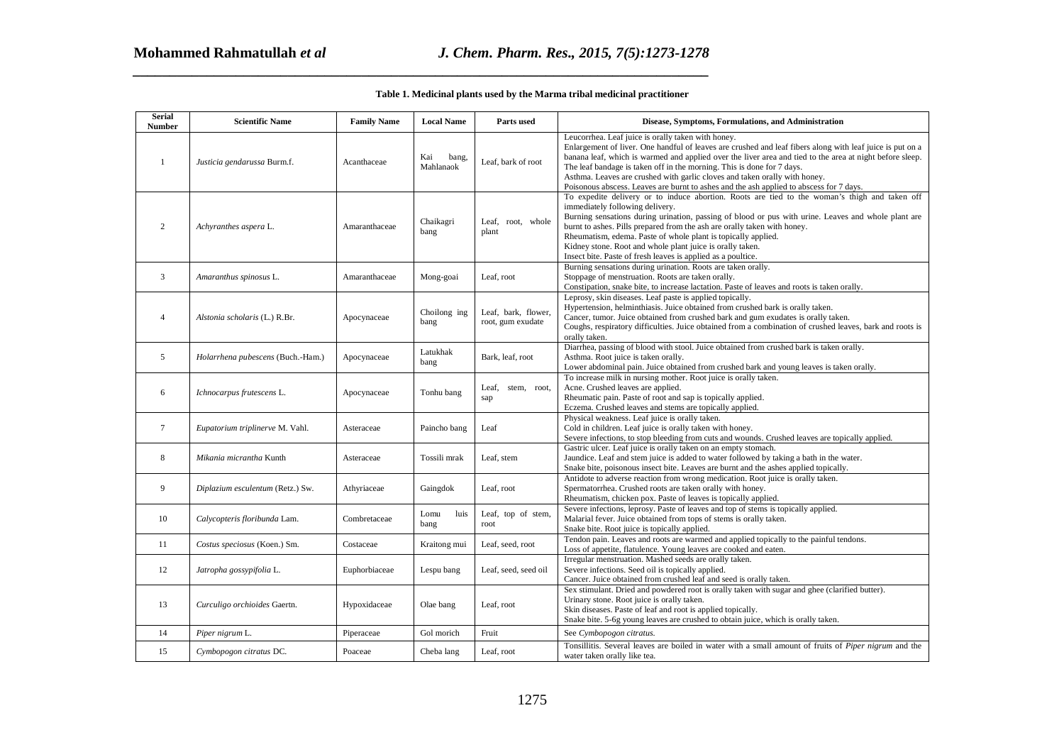| <b>Serial</b><br>Number | <b>Scientific Name</b>            | <b>Family Name</b> | <b>Local Name</b>         | Parts used                               | Disease, Symptoms, Formulations, and Administration                                                                                                                                                                                                                                                                                                                                                                                                                                                                            |
|-------------------------|-----------------------------------|--------------------|---------------------------|------------------------------------------|--------------------------------------------------------------------------------------------------------------------------------------------------------------------------------------------------------------------------------------------------------------------------------------------------------------------------------------------------------------------------------------------------------------------------------------------------------------------------------------------------------------------------------|
| $\overline{1}$          | Justicia gendarussa Burm.f.       | Acanthaceae        | Kai<br>bang,<br>Mahlanaok | Leaf, bark of root                       | Leucorrhea. Leaf juice is orally taken with honey.<br>Enlargement of liver. One handful of leaves are crushed and leaf fibers along with leaf juice is put on a<br>banana leaf, which is warmed and applied over the liver area and tied to the area at night before sleep.<br>The leaf bandage is taken off in the morning. This is done for 7 days.<br>Asthma. Leaves are crushed with garlic cloves and taken orally with honey.<br>Poisonous abscess. Leaves are burnt to ashes and the ash applied to abscess for 7 days. |
| $\overline{2}$          | Achyranthes aspera L.             | Amaranthaceae      | Chaikagri<br>bang         | Leaf, root, whole<br>plant               | To expedite delivery or to induce abortion. Roots are tied to the woman's thigh and taken off<br>immediately following delivery.<br>Burning sensations during urination, passing of blood or pus with urine. Leaves and whole plant are<br>burnt to ashes. Pills prepared from the ash are orally taken with honey.<br>Rheumatism, edema. Paste of whole plant is topically applied.<br>Kidney stone. Root and whole plant juice is orally taken.<br>Insect bite. Paste of fresh leaves is applied as a poultice.              |
| 3                       | Amaranthus spinosus L.            | Amaranthaceae      | Mong-goai                 | Leaf, root                               | Burning sensations during urination. Roots are taken orally.<br>Stoppage of menstruation. Roots are taken orally.<br>Constipation, snake bite, to increase lactation. Paste of leaves and roots is taken orally.                                                                                                                                                                                                                                                                                                               |
| $\overline{4}$          | Alstonia scholaris (L.) R.Br.     | Apocynaceae        | Choilong ing<br>bang      | Leaf, bark, flower.<br>root, gum exudate | Leprosy, skin diseases. Leaf paste is applied topically.<br>Hypertension, helminthiasis. Juice obtained from crushed bark is orally taken.<br>Cancer, tumor. Juice obtained from crushed bark and gum exudates is orally taken.<br>Coughs, respiratory difficulties. Juice obtained from a combination of crushed leaves, bark and roots is<br>orally taken.                                                                                                                                                                   |
| 5                       | Holarrhena pubescens (Buch.-Ham.) | Apocynaceae        | Latukhak<br>bang          | Bark, leaf, root                         | Diarrhea, passing of blood with stool. Juice obtained from crushed bark is taken orally.<br>Asthma. Root juice is taken orally.<br>Lower abdominal pain. Juice obtained from crushed bark and young leaves is taken orally.                                                                                                                                                                                                                                                                                                    |
| 6                       | Ichnocarpus frutescens L.         | Apocynaceae        | Tonhu bang                | Leaf, stem, root,<br>sap                 | To increase milk in nursing mother. Root juice is orally taken.<br>Acne. Crushed leaves are applied.<br>Rheumatic pain. Paste of root and sap is topically applied.<br>Eczema. Crushed leaves and stems are topically applied.                                                                                                                                                                                                                                                                                                 |
| $\tau$                  | Eupatorium triplinerve M. Vahl.   | Asteraceae         | Paincho bang              | Leaf                                     | Physical weakness. Leaf juice is orally taken.<br>Cold in children. Leaf juice is orally taken with honey.<br>Severe infections, to stop bleeding from cuts and wounds. Crushed leaves are topically applied.                                                                                                                                                                                                                                                                                                                  |
| 8                       | Mikania micrantha Kunth           | Asteraceae         | Tossili mrak              | Leaf, stem                               | Gastric ulcer. Leaf juice is orally taken on an empty stomach.<br>Jaundice. Leaf and stem juice is added to water followed by taking a bath in the water.<br>Snake bite, poisonous insect bite. Leaves are burnt and the ashes applied topically.                                                                                                                                                                                                                                                                              |
| 9                       | Diplazium esculentum (Retz.) Sw.  | Athyriaceae        | Gaingdok                  | Leaf, root                               | Antidote to adverse reaction from wrong medication. Root juice is orally taken.<br>Spermatorrhea. Crushed roots are taken orally with honey.<br>Rheumatism, chicken pox. Paste of leaves is topically applied.                                                                                                                                                                                                                                                                                                                 |
| 10                      | Calycopteris floribunda Lam.      | Combretaceae       | Lomu<br>luis<br>bang      | Leaf, top of stem,<br>root               | Severe infections, leprosy. Paste of leaves and top of stems is topically applied.<br>Malarial fever. Juice obtained from tops of stems is orally taken.<br>Snake bite. Root juice is topically applied.                                                                                                                                                                                                                                                                                                                       |
| 11                      | Costus speciosus (Koen.) Sm.      | Costaceae          | Kraitong mui              | Leaf, seed, root                         | Tendon pain. Leaves and roots are warmed and applied topically to the painful tendons.<br>Loss of appetite, flatulence. Young leaves are cooked and eaten.                                                                                                                                                                                                                                                                                                                                                                     |
| 12                      | Jatropha gossypifolia L.          | Euphorbiaceae      | Lespu bang                | Leaf, seed, seed oil                     | Irregular menstruation. Mashed seeds are orally taken.<br>Severe infections. Seed oil is topically applied.<br>Cancer. Juice obtained from crushed leaf and seed is orally taken.                                                                                                                                                                                                                                                                                                                                              |
| 13                      | Curculigo orchioides Gaertn.      | Hypoxidaceae       | Olae bang                 | Leaf. root                               | Sex stimulant. Dried and powdered root is orally taken with sugar and ghee (clarified butter).<br>Urinary stone. Root juice is orally taken.<br>Skin diseases. Paste of leaf and root is applied topically.<br>Snake bite. 5-6g young leaves are crushed to obtain juice, which is orally taken.                                                                                                                                                                                                                               |
| 14                      | Piper nigrum L.                   | Piperaceae         | Gol morich                | Fruit                                    | See Cymbopogon citratus.                                                                                                                                                                                                                                                                                                                                                                                                                                                                                                       |
| 15                      | Cymbopogon citratus DC.           | Poaceae            | Cheba lang                | Leaf, root                               | Tonsillitis. Several leaves are boiled in water with a small amount of fruits of Piper nigrum and the<br>water taken orally like tea.                                                                                                                                                                                                                                                                                                                                                                                          |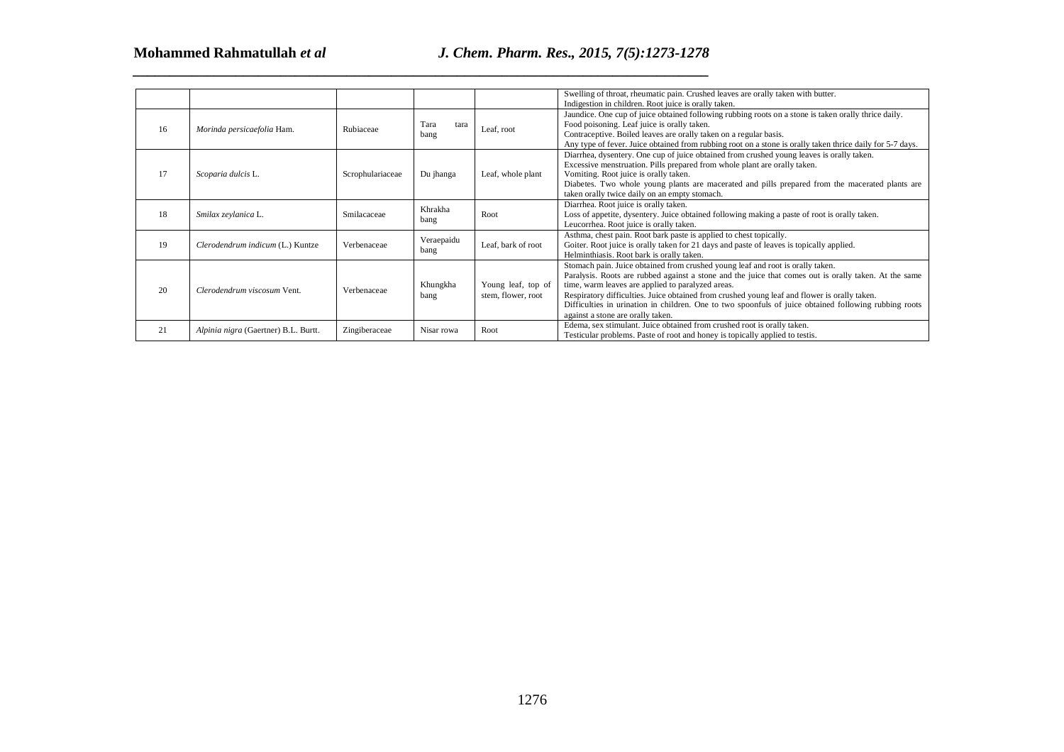|    |                                      |                  |                      |                                          | Swelling of throat, rheumatic pain. Crushed leaves are orally taken with butter.<br>Indigestion in children. Root juice is orally taken.                                                                                                                                                                                                                                                                                                                                                   |
|----|--------------------------------------|------------------|----------------------|------------------------------------------|--------------------------------------------------------------------------------------------------------------------------------------------------------------------------------------------------------------------------------------------------------------------------------------------------------------------------------------------------------------------------------------------------------------------------------------------------------------------------------------------|
| 16 | Morinda persicaefolia Ham.           | Rubiaceae        | Tara<br>tara<br>bang | Leaf, root                               | Jaundice. One cup of juice obtained following rubbing roots on a stone is taken orally thrice daily.<br>Food poisoning. Leaf juice is orally taken.<br>Contraceptive. Boiled leaves are orally taken on a regular basis.<br>Any type of fever. Juice obtained from rubbing root on a stone is orally taken thrice daily for 5-7 days.                                                                                                                                                      |
| 17 | Scoparia dulcis L.                   | Scrophulariaceae | Du jhanga            | Leaf, whole plant                        | Diarrhea, dysentery. One cup of juice obtained from crushed young leaves is orally taken.<br>Excessive menstruation. Pills prepared from whole plant are orally taken.<br>Vomiting. Root juice is orally taken.<br>Diabetes. Two whole young plants are macerated and pills prepared from the macerated plants are<br>taken orally twice daily on an empty stomach.                                                                                                                        |
| 18 | Smilax zeylanica L.                  | Smilacaceae      | Khrakha<br>bang      | Root                                     | Diarrhea. Root juice is orally taken.<br>Loss of appetite, dysentery. Juice obtained following making a paste of root is orally taken.<br>Leucorrhea. Root juice is orally taken.                                                                                                                                                                                                                                                                                                          |
| 19 | Clerodendrum indicum (L.) Kuntze     | Verbenaceae      | Veraepaidu<br>bang   | Leaf, bark of root                       | Asthma, chest pain. Root bark paste is applied to chest topically.<br>Goiter. Root juice is orally taken for 21 days and paste of leaves is topically applied.<br>Helminthiasis. Root bark is orally taken.                                                                                                                                                                                                                                                                                |
| 20 | Clerodendrum viscosum Vent.          | Verbenaceae      | Khungkha<br>bang     | Young leaf, top of<br>stem, flower, root | Stomach pain. Juice obtained from crushed young leaf and root is orally taken.<br>Paralysis. Roots are rubbed against a stone and the juice that comes out is orally taken. At the same<br>time, warm leaves are applied to paralyzed areas.<br>Respiratory difficulties. Juice obtained from crushed young leaf and flower is orally taken.<br>Difficulties in urination in children. One to two spoonfuls of juice obtained following rubbing roots<br>against a stone are orally taken. |
| 21 | Alpinia nigra (Gaertner) B.L. Burtt. | Zingiberaceae    | Nisar rowa           | Root                                     | Edema, sex stimulant. Juice obtained from crushed root is orally taken.<br>Testicular problems. Paste of root and honey is topically applied to testis.                                                                                                                                                                                                                                                                                                                                    |
|    |                                      |                  |                      |                                          |                                                                                                                                                                                                                                                                                                                                                                                                                                                                                            |
|    |                                      |                  |                      |                                          |                                                                                                                                                                                                                                                                                                                                                                                                                                                                                            |
|    |                                      |                  |                      | 1276                                     |                                                                                                                                                                                                                                                                                                                                                                                                                                                                                            |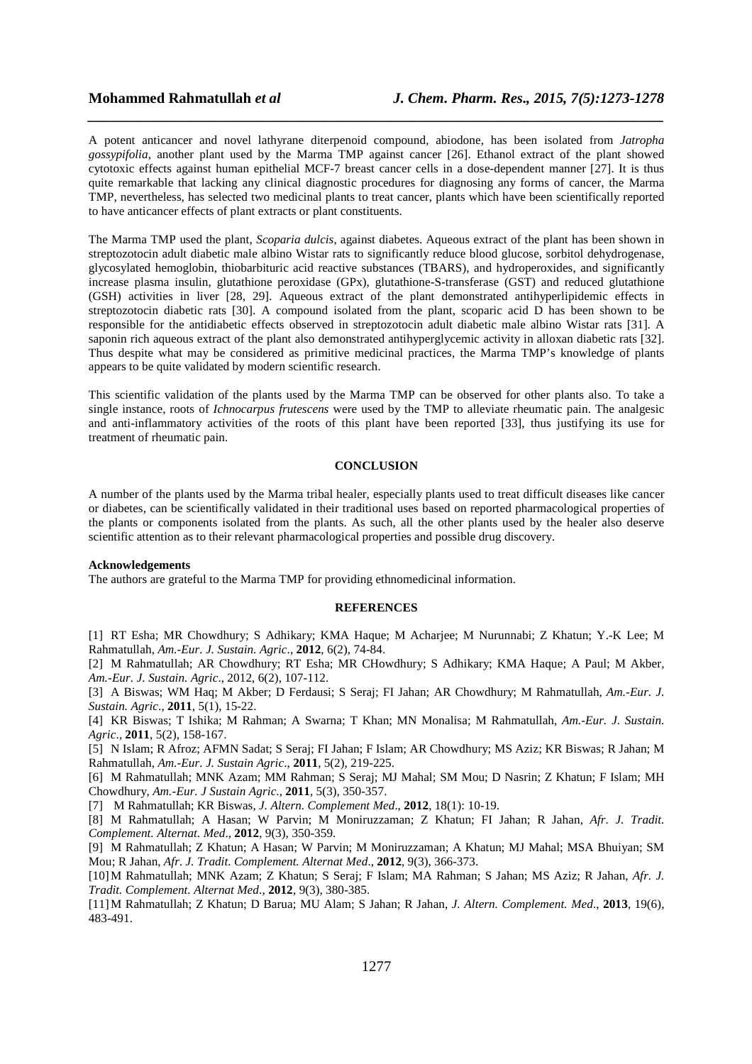A potent anticancer and novel lathyrane diterpenoid compound, abiodone, has been isolated from *Jatropha gossypifolia*, another plant used by the Marma TMP against cancer [26]. Ethanol extract of the plant showed cytotoxic effects against human epithelial MCF-7 breast cancer cells in a dose-dependent manner [27]. It is thus quite remarkable that lacking any clinical diagnostic procedures for diagnosing any forms of cancer, the Marma TMP, nevertheless, has selected two medicinal plants to treat cancer, plants which have been scientifically reported to have anticancer effects of plant extracts or plant constituents.

*\_\_\_\_\_\_\_\_\_\_\_\_\_\_\_\_\_\_\_\_\_\_\_\_\_\_\_\_\_\_\_\_\_\_\_\_\_\_\_\_\_\_\_\_\_\_\_\_\_\_\_\_\_\_\_\_\_\_\_\_\_\_\_\_\_\_\_\_\_\_\_\_\_\_\_\_\_\_*

The Marma TMP used the plant, *Scoparia dulcis*, against diabetes. Aqueous extract of the plant has been shown in streptozotocin adult diabetic male albino Wistar rats to significantly reduce blood glucose, sorbitol dehydrogenase, glycosylated hemoglobin, thiobarbituric acid reactive substances (TBARS), and hydroperoxides, and significantly increase plasma insulin, glutathione peroxidase (GPx), glutathione-S-transferase (GST) and reduced glutathione (GSH) activities in liver [28, 29]. Aqueous extract of the plant demonstrated antihyperlipidemic effects in streptozotocin diabetic rats [30]. A compound isolated from the plant, scoparic acid D has been shown to be responsible for the antidiabetic effects observed in streptozotocin adult diabetic male albino Wistar rats [31]. A saponin rich aqueous extract of the plant also demonstrated antihyperglycemic activity in alloxan diabetic rats [32]. Thus despite what may be considered as primitive medicinal practices, the Marma TMP's knowledge of plants appears to be quite validated by modern scientific research.

This scientific validation of the plants used by the Marma TMP can be observed for other plants also. To take a single instance, roots of *Ichnocarpus frutescens* were used by the TMP to alleviate rheumatic pain. The analgesic and anti-inflammatory activities of the roots of this plant have been reported [33], thus justifying its use for treatment of rheumatic pain.

#### **CONCLUSION**

A number of the plants used by the Marma tribal healer, especially plants used to treat difficult diseases like cancer or diabetes, can be scientifically validated in their traditional uses based on reported pharmacological properties of the plants or components isolated from the plants. As such, all the other plants used by the healer also deserve scientific attention as to their relevant pharmacological properties and possible drug discovery.

#### **Acknowledgements**

The authors are grateful to the Marma TMP for providing ethnomedicinal information.

### **REFERENCES**

[1] RT Esha; MR Chowdhury; S Adhikary; KMA Haque; M Acharjee; M Nurunnabi; Z Khatun; Y.-K Lee; M Rahmatullah, *Am.-Eur. J. Sustain. Agric*., **2012**, 6(2), 74-84.

[2] M Rahmatullah; AR Chowdhury; RT Esha; MR CHowdhury; S Adhikary; KMA Haque; A Paul; M Akber, *Am.-Eur. J. Sustain. Agric*., 2012, 6(2), 107-112.

[3] A Biswas; WM Haq; M Akber; D Ferdausi; S Seraj; FI Jahan; AR Chowdhury; M Rahmatullah, *Am.-Eur. J. Sustain. Agric*., **2011**, 5(1), 15-22.

[4] KR Biswas; T Ishika; M Rahman; A Swarna; T Khan; MN Monalisa; M Rahmatullah, *Am.-Eur. J. Sustain. Agric*., **2011**, 5(2), 158-167.

[5] N Islam; R Afroz; AFMN Sadat; S Seraj; FI Jahan; F Islam; AR Chowdhury; MS Aziz; KR Biswas; R Jahan; M Rahmatullah, *Am.-Eur. J. Sustain Agric*., **2011**, 5(2), 219-225.

[6] M Rahmatullah; MNK Azam; MM Rahman; S Seraj; MJ Mahal; SM Mou; D Nasrin; Z Khatun; F Islam; MH Chowdhury, *Am.-Eur. J Sustain Agric*., **2011**, 5(3), 350-357.

[7] M Rahmatullah; KR Biswas, *J. Altern. Complement Med*., **2012**, 18(1): 10-19.

[8] M Rahmatullah; A Hasan; W Parvin; M Moniruzzaman; Z Khatun; FI Jahan; R Jahan, *Afr. J. Tradit. Complement. Alternat. Med*., **2012**, 9(3), 350-359.

[9] M Rahmatullah; Z Khatun; A Hasan; W Parvin; M Moniruzzaman; A Khatun; MJ Mahal; MSA Bhuiyan; SM Mou; R Jahan, *Afr. J. Tradit. Complement. Alternat Med*., **2012**, 9(3), 366-373.

[10]M Rahmatullah; MNK Azam; Z Khatun; S Seraj; F Islam; MA Rahman; S Jahan; MS Aziz; R Jahan, *Afr. J. Tradit. Complement. Alternat Med*., **2012**, 9(3), 380-385.

[11]M Rahmatullah; Z Khatun; D Barua; MU Alam; S Jahan; R Jahan, *J. Altern. Complement. Med*., **2013**, 19(6), 483-491.